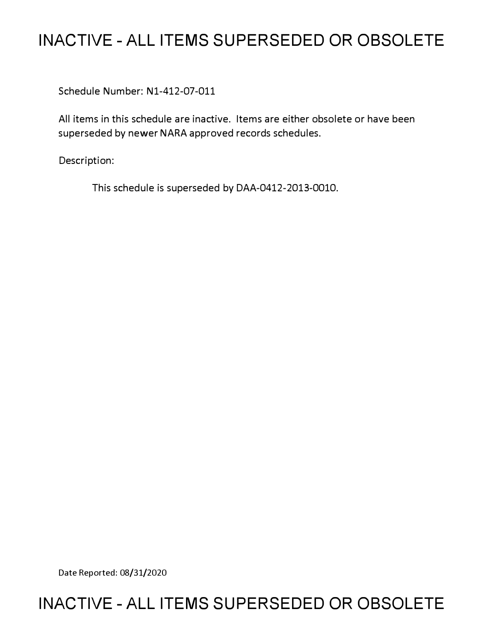# **INACTIVE - ALL ITEMS SUPERSEDED OR OBSOLETE**

Schedule Number: Nl-412-07-011

All items in this schedule are inactive. Items are either obsolete or have been superseded by newer NARA approved records schedules.

Description:

This schedule is superseded by DAA-0412-2013-0010.

Date Reported: 08/31/2020

# **INACTIVE - ALL ITEMS SUPERSEDED OR OBSOLETE**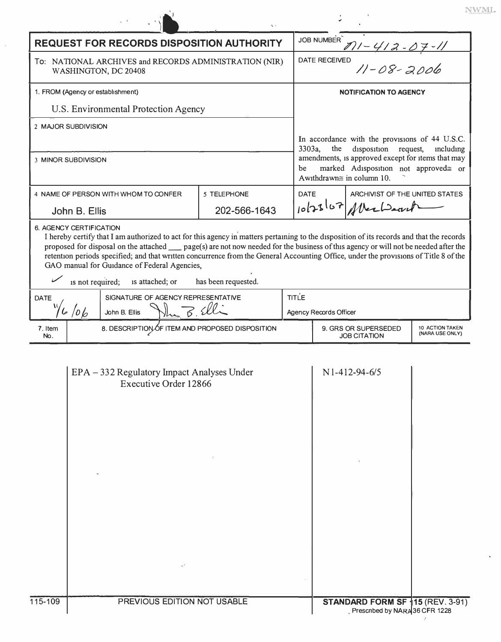| ×<br>× |  |  |    |  |
|--------|--|--|----|--|
|        |  |  | 'n |  |
|        |  |  |    |  |

 $\mathcal{Z}=\frac{1}{2} \sum_{i=1}^{N}$ 

| <b>REQUEST FOR RECORDS DISPOSITION AUTHORITY</b>                                                                                                                                                                                                                                                                                                                                                                                                                                                                                                                      |                                    | <b>JOB NUMBER</b>                                                                                                                                                                                                                       |                                               |                                             |                                    |  |  |  |  |
|-----------------------------------------------------------------------------------------------------------------------------------------------------------------------------------------------------------------------------------------------------------------------------------------------------------------------------------------------------------------------------------------------------------------------------------------------------------------------------------------------------------------------------------------------------------------------|------------------------------------|-----------------------------------------------------------------------------------------------------------------------------------------------------------------------------------------------------------------------------------------|-----------------------------------------------|---------------------------------------------|------------------------------------|--|--|--|--|
| To: NATIONAL ARCHIVES and RECORDS ADMINISTRATION (NIR)<br>WASHINGTON, DC 20408                                                                                                                                                                                                                                                                                                                                                                                                                                                                                        |                                    | <u>7)1 - 412 - 07 - 11</u><br><sup>ED</sup> 11 - 08 - 2006<br><b>DATE RECEIVED</b>                                                                                                                                                      |                                               |                                             |                                    |  |  |  |  |
| 1. FROM (Agency or establishment)                                                                                                                                                                                                                                                                                                                                                                                                                                                                                                                                     |                                    | <b>NOTIFICATION TO AGENCY</b>                                                                                                                                                                                                           |                                               |                                             |                                    |  |  |  |  |
| U.S. Environmental Protection Agency                                                                                                                                                                                                                                                                                                                                                                                                                                                                                                                                  |                                    |                                                                                                                                                                                                                                         |                                               |                                             |                                    |  |  |  |  |
| 2 MAJOR SUBDIVISION                                                                                                                                                                                                                                                                                                                                                                                                                                                                                                                                                   |                                    |                                                                                                                                                                                                                                         |                                               |                                             |                                    |  |  |  |  |
|                                                                                                                                                                                                                                                                                                                                                                                                                                                                                                                                                                       |                                    | In accordance with the provisions of 44 U.S.C.<br>3303a,<br>the<br>disposition<br>request,<br>including<br>amendments, is approved except for items that may<br>marked Adisposition not approved= or<br>be<br>Awithdrawn≅ in column 10. |                                               |                                             |                                    |  |  |  |  |
| 3 MINOR SUBDIVISION                                                                                                                                                                                                                                                                                                                                                                                                                                                                                                                                                   |                                    |                                                                                                                                                                                                                                         |                                               |                                             |                                    |  |  |  |  |
| 4 NAME OF PERSON WITH WHOM TO CONFER                                                                                                                                                                                                                                                                                                                                                                                                                                                                                                                                  | 5 TELEPHONE                        |                                                                                                                                                                                                                                         | ARCHIVIST OF THE UNITED STATES<br><b>DATE</b> |                                             |                                    |  |  |  |  |
| John B. Ellis                                                                                                                                                                                                                                                                                                                                                                                                                                                                                                                                                         | 202-566-1643                       |                                                                                                                                                                                                                                         | 10/23/07 Albertsont                           |                                             |                                    |  |  |  |  |
| <b>6. AGENCY CERTIFICATION</b><br>I hereby certify that I am authorized to act for this agency in matters pertaining to the disposition of its records and that the records<br>proposed for disposal on the attached __ page(s) are not now needed for the business of this agency or will not be needed after the<br>retention periods specified; and that written concurrence from the General Accounting Office, under the provisions of Title 8 of the<br>GAO manual for Guidance of Federal Agencies,<br>is not required; is attached; or<br>has been requested. |                                    |                                                                                                                                                                                                                                         |                                               |                                             |                                    |  |  |  |  |
| SIGNATURE OF AGENCY REPRESENTATIVE<br><b>DATE</b>                                                                                                                                                                                                                                                                                                                                                                                                                                                                                                                     | <b>TITLE</b>                       |                                                                                                                                                                                                                                         |                                               |                                             |                                    |  |  |  |  |
|                                                                                                                                                                                                                                                                                                                                                                                                                                                                                                                                                                       | John B. Ellis Why B. Elli<br>6/10/ |                                                                                                                                                                                                                                         |                                               |                                             | Agency Records Officer             |  |  |  |  |
| 8. DESCRIPTION OF ITEM AND PROPOSED DISPOSITION<br>7. Item<br>No.                                                                                                                                                                                                                                                                                                                                                                                                                                                                                                     |                                    |                                                                                                                                                                                                                                         |                                               | 9. GRS OR SUPERSEDED<br><b>JOB CITATION</b> | 10 ACTION TAKEN<br>(NARA USE ONLY) |  |  |  |  |
| EPA - 332 Regulatory Impact Analyses Under<br>Executive Order 12866                                                                                                                                                                                                                                                                                                                                                                                                                                                                                                   |                                    |                                                                                                                                                                                                                                         |                                               | N1-412-94-6/5                               |                                    |  |  |  |  |
| 115-109<br>PREVIOUS EDITION NOT USABLE                                                                                                                                                                                                                                                                                                                                                                                                                                                                                                                                |                                    | STANDARD FORM SF 15 (REV. 3-91)<br>Prescribed by NARA 36 CFR 1228                                                                                                                                                                       |                                               |                                             |                                    |  |  |  |  |

i.

 $\mathbb{R}^n \longrightarrow \mathbb{R}^n$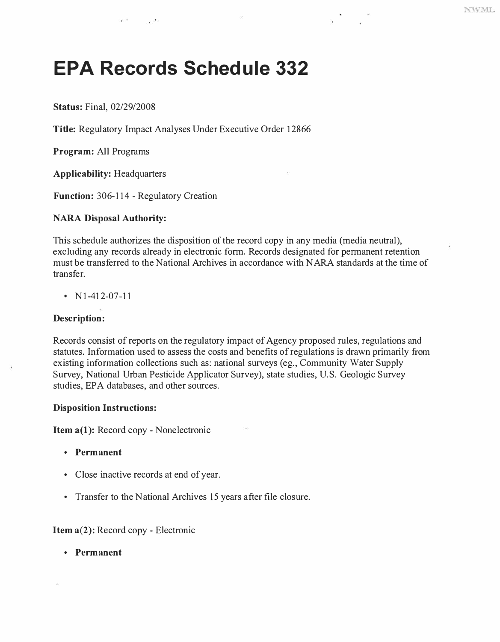# **EPA Records Schedule 332**

**Status:** Final, 02/29/2008

**Title:** Regulatory Impact Analyses Under Executive Order 12866

**Program:** All Programs

**Applicability:** Headquarters

**Function:** 306-114 - Regulatory Creation

#### **NARA Disposal Authority:**

This schedule authorizes the disposition of the record copy in any media (media neutral), excluding any records already in electronic form. Records designated for permanent retention must be transferred to the National Archives in accordance with NARA standards at the time of transfer.

•  $N1-412-07-11$ 

### **Description:**

Records consist of reports on the regulatory impact of Agency proposed rules, regulations and statutes. Information used to assess the costs and benefits of regulations is drawn primarily from existing information collections such as: national surveys (eg., Community Water Supply Survey, National Urban Pesticide Applicator Survey), state studies, U.S. Geologic Survey studies, EPA databases, and other sources.

#### **Disposition Instructions:**

**Item a(l):** Record copy - Nonelectronic

- **Permanent**
- Close inactive records at end of year.
- Transfer to the National Archives 15 years after file closure.

## **Item a(2):** Record copy - Electronic

**• Permanent**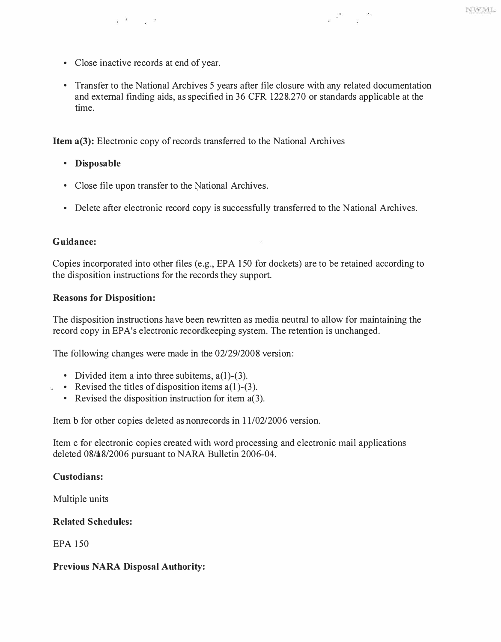• Close inactive records at end of year.

a Korona

• Transfer to the National Archives 5 years after file closure with any related documentation and external finding aids, as specified in 36 CFR 1228.270 or standards applicable at the time.

 $\label{eq:2.1} \begin{array}{ccc} & 200 & & 20 \\ & 2 & & 20 \\ \end{array}$ 

**Item a(3):** Electronic copy of records transferred to the National Archives

- **Disposable**
- Close file upon transfer to the National Archives.
- Delete after electronic record copy is successfully transferred to the National Archives.

### **Guidance:**

Copies incorporated into other files (e.g., EPA 150 for dockets) are to be retained according to the disposition instructions for the records they support.

#### **Reasons for Disposition:**

The disposition instructions have been rewritten as media neutral to allow for maintaining the record copy in EPA's electronic record keeping system. The retention is unchanged.

The following changes were made in the 02/29/2008 version:

- 
- Divided item a into three subitems,  $a(1)$ -(3).<br>• Revised the titles of disposition items  $a(1)$ -(3).<br>• Revised the disposition instruction for item  $a(3)$ .
	-

Item b for other copies deleted as nonrecords in 11/02/2006 version.

Item c for electronic copies created with word processing and electronic mail applications deleted 08/48/2006 pursuant to NARA Bulletin 2006-04.

### **Custodians:**

Multiple units

### **Related Schedules:**

EPA 150

### **Previous NARA Disposal Authority:**